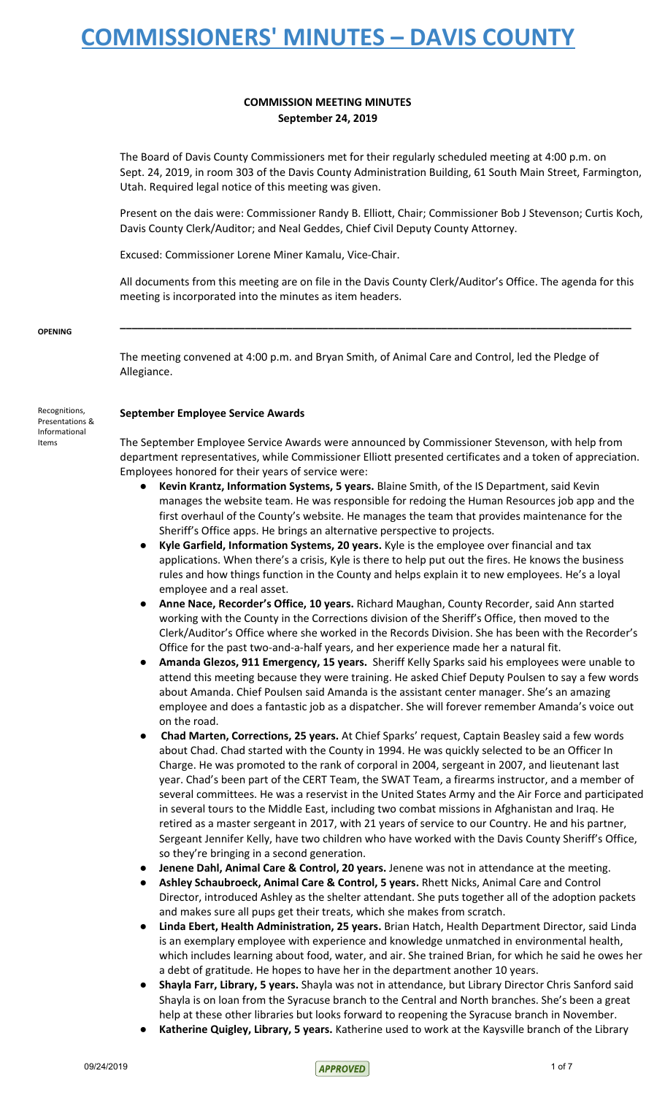#### **COMMISSION MEETING MINUTES September 24, 2019**

The Board of Davis County Commissioners met for their regularly scheduled meeting at 4:00 p.m. on Sept. 24, 2019, in room 303 of the Davis County Administration Building, 61 South Main Street, Farmington, Utah. Required legal notice of this meeting was given.

Present on the dais were: Commissioner Randy B. Elliott, Chair; Commissioner Bob J Stevenson; Curtis Koch, Davis County Clerk/Auditor; and Neal Geddes, Chief Civil Deputy County Attorney.

Excused: Commissioner Lorene Miner Kamalu, Vice-Chair.

All documents from this meeting are on file in the Davis County Clerk/Auditor's Office. The agenda for this meeting is incorporated into the minutes as item headers.

**\_\_\_\_\_\_\_\_\_\_\_\_\_\_\_\_\_\_\_\_\_\_\_\_\_\_\_\_\_\_\_\_\_\_\_\_\_\_\_\_\_\_\_\_\_\_\_\_\_\_\_\_\_\_\_\_\_\_\_\_\_\_\_\_\_\_\_\_\_\_\_\_\_\_\_\_\_\_\_\_\_\_\_\_\_\_**

#### **OPENING**

The meeting convened at 4:00 p.m. and Bryan Smith, of Animal Care and Control, led the Pledge of Allegiance.

#### **September Employee Service Awards**

The September Employee Service Awards were announced by Commissioner Stevenson, with help from department representatives, while Commissioner Elliott presented certificates and a token of appreciation. Employees honored for their years of service were:

- **Kevin Krantz, Information Systems, 5 years.** Blaine Smith, of the IS Department, said Kevin manages the website team. He was responsible for redoing the Human Resources job app and the first overhaul of the County's website. He manages the team that provides maintenance for the Sheriff's Office apps. He brings an alternative perspective to projects.
- **Kyle Garfield, Information Systems, 20 years.** Kyle is the employee over financial and tax applications. When there's a crisis, Kyle is there to help put out the fires. He knows the business rules and how things function in the County and helps explain it to new employees. He's a loyal employee and a real asset.
- **Anne Nace, Recorder's Office, 10 years.** Richard Maughan, County Recorder, said Ann started working with the County in the Corrections division of the Sheriff's Office, then moved to the Clerk/Auditor's Office where she worked in the Records Division. She has been with the Recorder's Office for the past two-and-a-half years, and her experience made her a natural fit.
- **Amanda Glezos, 911 Emergency, 15 years.** Sheriff Kelly Sparks said his employees were unable to attend this meeting because they were training. He asked Chief Deputy Poulsen to say a few words about Amanda. Chief Poulsen said Amanda is the assistant center manager. She's an amazing employee and does a fantastic job as a dispatcher. She will forever remember Amanda's voice out on the road.
- **Chad Marten, Corrections, 25 years.** At Chief Sparks' request, Captain Beasley said a few words about Chad. Chad started with the County in 1994. He was quickly selected to be an Officer In Charge. He was promoted to the rank of corporal in 2004, sergeant in 2007, and lieutenant last year. Chad's been part of the CERT Team, the SWAT Team, a firearms instructor, and a member of several committees. He was a reservist in the United States Army and the Air Force and participated in several tours to the Middle East, including two combat missions in Afghanistan and Iraq. He retired as a master sergeant in 2017, with 21 years of service to our Country. He and his partner, Sergeant Jennifer Kelly, have two children who have worked with the Davis County Sheriff's Office, so they're bringing in a second generation.
- **Jenene Dahl, Animal Care & Control, 20 years.** Jenene was not in attendance at the meeting.
- **Ashley Schaubroeck, Animal Care & Control, 5 years.** Rhett Nicks, Animal Care and Control Director, introduced Ashley as the shelter attendant. She puts together all of the adoption packets and makes sure all pups get their treats, which she makes from scratch.
- **Linda Ebert, Health Administration, 25 years.** Brian Hatch, Health Department Director, said Linda is an exemplary employee with experience and knowledge unmatched in environmental health, which includes learning about food, water, and air. She trained Brian, for which he said he owes her a debt of gratitude. He hopes to have her in the department another 10 years.
- **Shayla Farr, Library, 5 years.** Shayla was not in attendance, but Library Director Chris Sanford said Shayla is on loan from the Syracuse branch to the Central and North branches. She's been a great help at these other libraries but looks forward to reopening the Syracuse branch in November.
- **Katherine Quigley, Library, 5 years.** Katherine used to work at the Kaysville branch of the Library

Recognitions, Presentations & Informational Items

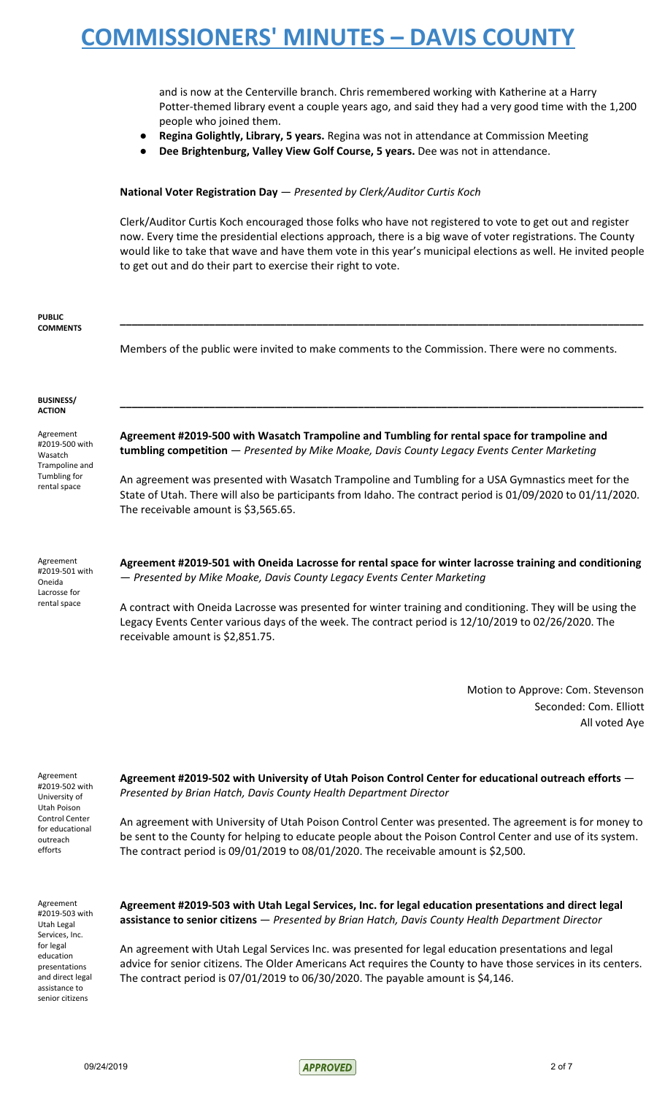and is now at the Centerville branch. Chris remembered working with Katherine at a Harry Potter-themed library event a couple years ago, and said they had a very good time with the 1,200 people who joined them.

- **Regina Golightly, Library, 5 years.** Regina was not in attendance at Commission Meeting
	- **Dee Brightenburg, Valley View Golf Course, 5 years.** Dee was not in attendance.

#### **National Voter Registration Day** — *Presented by Clerk/Auditor Curtis Koch*

Clerk/Auditor Curtis Koch encouraged those folks who have not registered to vote to get out and register now. Every time the presidential elections approach, there is a big wave of voter registrations. The County would like to take that wave and have them vote in this year's municipal elections as well. He invited people to get out and do their part to exercise their right to vote.

| <b>PUBLIC</b><br><b>COMMENTS</b>                                                         |                                                                                                                                                                                                                                                          |
|------------------------------------------------------------------------------------------|----------------------------------------------------------------------------------------------------------------------------------------------------------------------------------------------------------------------------------------------------------|
|                                                                                          | Members of the public were invited to make comments to the Commission. There were no comments.                                                                                                                                                           |
| <b>BUSINESS/</b><br><b>ACTION</b>                                                        |                                                                                                                                                                                                                                                          |
| Agreement<br>#2019-500 with<br>Wasatch<br>Trampoline and<br>Tumbling for<br>rental space | Agreement #2019-500 with Wasatch Trampoline and Tumbling for rental space for trampoline and<br>tumbling competition - Presented by Mike Moake, Davis County Legacy Events Center Marketing                                                              |
|                                                                                          | An agreement was presented with Wasatch Trampoline and Tumbling for a USA Gymnastics meet for the<br>State of Utah. There will also be participants from Idaho. The contract period is 01/09/2020 to 01/11/2020.<br>The receivable amount is \$3,565.65. |
| Agreement<br>#2019-501 with<br>Oneida<br>Lacrosse for<br>rental space                    | Agreement #2019-501 with Oneida Lacrosse for rental space for winter lacrosse training and conditioning<br>- Presented by Mike Moake, Davis County Legacy Events Center Marketing                                                                        |
|                                                                                          | A contract with Oneida Lacrosse was presented for winter training and conditioning. They will be using the<br>Legacy Events Center various days of the week. The contract period is 12/10/2019 to 02/26/2020. The<br>receivable amount is \$2,851.75.    |

Motion to Approve: Com. Stevenson Seconded: Com. Elliott All voted Aye

Agreement #2019-502 with University of Utah Poison Control Center for educational outreach efforts

**Agreement #2019-502 with University of Utah Poison Control Center for educational outreach efforts** — *Presented by Brian Hatch, Davis County Health Department Director*

An agreement with University of Utah Poison Control Center was presented. The agreement is for money to be sent to the County for helping to educate people about the Poison Control Center and use of its system. The contract period is 09/01/2019 to 08/01/2020. The receivable amount is \$2,500.

Agreement #2019-503 with Utah Legal Services, Inc. for legal education presentations and direct legal assistance to senior citizens

**Agreement #2019-503 with Utah Legal Services, Inc. for legal education presentations and direct legal assistance to senior citizens** — *Presented by Brian Hatch, Davis County Health Department Director*

An agreement with Utah Legal Services Inc. was presented for legal education presentations and legal advice for senior citizens. The Older Americans Act requires the County to have those services in its centers. The contract period is 07/01/2019 to 06/30/2020. The payable amount is \$4,146.

09/24/2019 2 of 7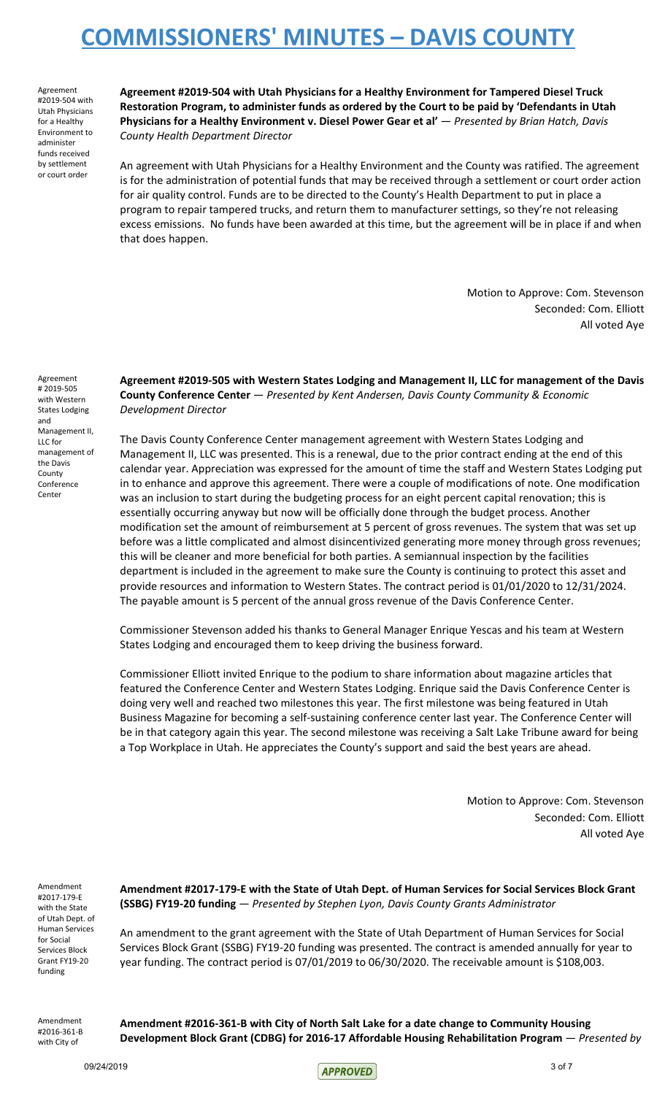Agreement #2019-504 with Utah Physicians for a Healthy Environment to administer funds received by settlement or court order

**Agreement #2019-504 with Utah Physicians for a Healthy Environment for Tampered Diesel Truck Restoration Program, to administer funds as ordered by the Court to be paid by 'Defendants in Utah Physicians for a Healthy Environment v. Diesel Power Gear et al'** — *Presented by Brian Hatch, Davis County Health Department Director*

An agreement with Utah Physicians for a Healthy Environment and the County was ratified. The agreement is for the administration of potential funds that may be received through a settlement or court order action for air quality control. Funds are to be directed to the County's Health Department to put in place a program to repair tampered trucks, and return them to manufacturer settings, so they're not releasing excess emissions. No funds have been awarded at this time, but the agreement will be in place if and when that does happen.

> Motion to Approve: Com. Stevenson Seconded: Com. Elliott All voted Aye

Agreement # 2019-505 with Western States Lodging and Management II, LLC for management of the Davis County Conference Center

**Agreement #2019-505 with Western States Lodging and Management II, LLC for management of the Davis County Conference Center** — *Presented by Kent Andersen, Davis County Community & Economic Development Director*

The Davis County Conference Center management agreement with Western States Lodging and Management II, LLC was presented. This is a renewal, due to the prior contract ending at the end of this calendar year. Appreciation was expressed for the amount of time the staff and Western States Lodging put in to enhance and approve this agreement. There were a couple of modifications of note. One modification was an inclusion to start during the budgeting process for an eight percent capital renovation; this is essentially occurring anyway but now will be officially done through the budget process. Another modification set the amount of reimbursement at 5 percent of gross revenues. The system that was set up before was a little complicated and almost disincentivized generating more money through gross revenues; this will be cleaner and more beneficial for both parties. A semiannual inspection by the facilities department is included in the agreement to make sure the County is continuing to protect this asset and provide resources and information to Western States. The contract period is 01/01/2020 to 12/31/2024. The payable amount is 5 percent of the annual gross revenue of the Davis Conference Center.

Commissioner Stevenson added his thanks to General Manager Enrique Yescas and his team at Western States Lodging and encouraged them to keep driving the business forward.

Commissioner Elliott invited Enrique to the podium to share information about magazine articles that featured the Conference Center and Western States Lodging. Enrique said the Davis Conference Center is doing very well and reached two milestones this year. The first milestone was being featured in Utah Business Magazine for becoming a self-sustaining conference center last year. The Conference Center will be in that category again this year. The second milestone was receiving a Salt Lake Tribune award for being a Top Workplace in Utah. He appreciates the County's support and said the best years are ahead.

> Motion to Approve: Com. Stevenson Seconded: Com. Elliott All voted Aye

Amendment #2017-179-E with the State of Utah Dept. of Human Services for Social Services Block Grant FY19-20 funding

**Amendment #2017-179-E with the State of Utah Dept. of Human Services for Social Services Block Grant (SSBG) FY19-20 funding** — *Presented by Stephen Lyon, Davis County Grants Administrator*

An amendment to the grant agreement with the State of Utah Department of Human Services for Social Services Block Grant (SSBG) FY19-20 funding was presented. The contract is amended annually for year to year funding. The contract period is 07/01/2019 to 06/30/2020. The receivable amount is \$108,003.

Amendment #2016-361-B with City of

**Amendment #2016-361-B with City of North Salt Lake for a date change to Community Housing Development Block Grant (CDBG) for 2016-17 Affordable Housing Rehabilitation Program** — *Presented by*

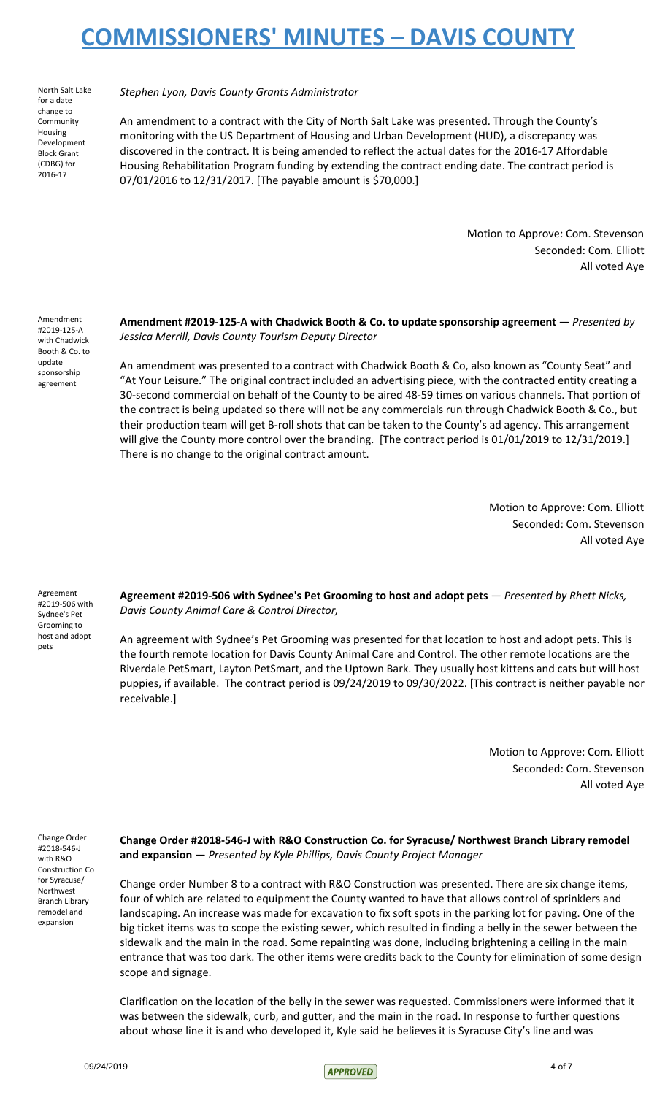North Salt Lake for a date change to **Community** Housing Development Block Grant (CDBG) for 2016-17

*Stephen Lyon, Davis County Grants Administrator*

An amendment to a contract with the City of North Salt Lake was presented. Through the County's monitoring with the US Department of Housing and Urban Development (HUD), a discrepancy was discovered in the contract. It is being amended to reflect the actual dates for the 2016-17 Affordable Housing Rehabilitation Program funding by extending the contract ending date. The contract period is 07/01/2016 to 12/31/2017. [The payable amount is \$70,000.]

> Motion to Approve: Com. Stevenson Seconded: Com. Elliott All voted Aye

Amendment #2019-125-A with Chadwick Booth & Co. to update sponsorship agreement

**Amendment #2019-125-A with Chadwick Booth & Co. to update sponsorship agreement** — *Presented by Jessica Merrill, Davis County Tourism Deputy Director*

An amendment was presented to a contract with Chadwick Booth & Co, also known as "County Seat" and "At Your Leisure." The original contract included an advertising piece, with the contracted entity creating a 30-second commercial on behalf of the County to be aired 48-59 times on various channels. That portion of the contract is being updated so there will not be any commercials run through Chadwick Booth & Co., but their production team will get B-roll shots that can be taken to the County's ad agency. This arrangement will give the County more control over the branding. [The contract period is 01/01/2019 to 12/31/2019.] There is no change to the original contract amount.

> Motion to Approve: Com. Elliott Seconded: Com. Stevenson All voted Aye

Agreement #2019-506 with Sydnee's Pet Grooming to host and adopt pets

**Agreement #2019-506 with Sydnee's Pet Grooming to host and adopt pets** — *Presented by Rhett Nicks, Davis County Animal Care & Control Director,*

An agreement with Sydnee's Pet Grooming was presented for that location to host and adopt pets. This is the fourth remote location for Davis County Animal Care and Control. The other remote locations are the Riverdale PetSmart, Layton PetSmart, and the Uptown Bark. They usually host kittens and cats but will host puppies, if available. The contract period is 09/24/2019 to 09/30/2022. [This contract is neither payable nor receivable.]

> Motion to Approve: Com. Elliott Seconded: Com. Stevenson All voted Aye

Change Order #2018-546-J with R&O Construction Co for Syracuse/ Northwest Branch Library remodel and expansion

**Change Order #2018-546-J with R&O Construction Co. for Syracuse/ Northwest Branch Library remodel and expansion** — *Presented by Kyle Phillips, Davis County Project Manager*

Change order Number 8 to a contract with R&O Construction was presented. There are six change items, four of which are related to equipment the County wanted to have that allows control of sprinklers and landscaping. An increase was made for excavation to fix soft spots in the parking lot for paving. One of the big ticket items was to scope the existing sewer, which resulted in finding a belly in the sewer between the sidewalk and the main in the road. Some repainting was done, including brightening a ceiling in the main entrance that was too dark. The other items were credits back to the County for elimination of some design scope and signage.

Clarification on the location of the belly in the sewer was requested. Commissioners were informed that it was between the sidewalk, curb, and gutter, and the main in the road. In response to further questions about whose line it is and who developed it, Kyle said he believes it is Syracuse City's line and was

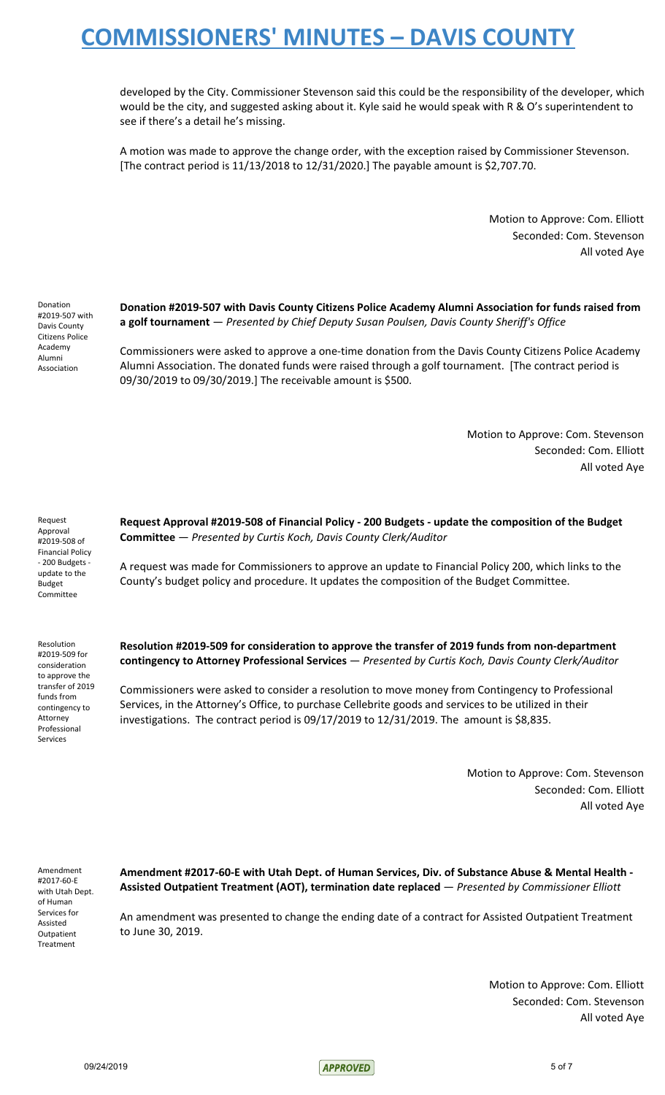developed by the City. Commissioner Stevenson said this could be the responsibility of the developer, which would be the city, and suggested asking about it. Kyle said he would speak with R & O's superintendent to see if there's a detail he's missing.

A motion was made to approve the change order, with the exception raised by Commissioner Stevenson. [The contract period is 11/13/2018 to 12/31/2020.] The payable amount is \$2,707.70.

> Motion to Approve: Com. Elliott Seconded: Com. Stevenson All voted Aye

Donation #2019-507 with Davis County Citizens Police Academy Alumni Association

**Donation #2019-507 with Davis County Citizens Police Academy Alumni Association for funds raised from a golf tournament** — *Presented by Chief Deputy Susan Poulsen, Davis County Sheriff's Office*

Commissioners were asked to approve a one-time donation from the Davis County Citizens Police Academy Alumni Association. The donated funds were raised through a golf tournament. [The contract period is 09/30/2019 to 09/30/2019.] The receivable amount is \$500.

> Motion to Approve: Com. Stevenson Seconded: Com. Elliott All voted Aye

Request Approval #2019-508 of Financial Policy - 200 Budgets update to the Budget Committee

Resolution #2019-509 for consideration to approve the transfer of 2019 funds from contingency to Attorney Professional Services

**Request Approval #2019-508 of Financial Policy - 200 Budgets - update the composition of the Budget Committee** — *Presented by Curtis Koch, Davis County Clerk/Auditor*

A request was made for Commissioners to approve an update to Financial Policy 200, which links to the County's budget policy and procedure. It updates the composition of the Budget Committee.

**Resolution #2019-509 for consideration to approve the transfer of 2019 funds from non-department contingency to Attorney Professional Services** — *Presented by Curtis Koch, Davis County Clerk/Auditor*

Commissioners were asked to consider a resolution to move money from Contingency to Professional Services, in the Attorney's Office, to purchase Cellebrite goods and services to be utilized in their investigations. The contract period is 09/17/2019 to 12/31/2019. The amount is \$8,835.

> Motion to Approve: Com. Stevenson Seconded: Com. Elliott All voted Aye

Amendment #2017-60-E with Utah Dept. of Human Services for Assisted Outpatient Treatment

**Amendment #2017-60-E with Utah Dept. of Human Services, Div. of Substance Abuse & Mental Health - Assisted Outpatient Treatment (AOT), termination date replaced** — *Presented by Commissioner Elliott*

An amendment was presented to change the ending date of a contract for Assisted Outpatient Treatment to June 30, 2019.

> Motion to Approve: Com. Elliott Seconded: Com. Stevenson All voted Aye

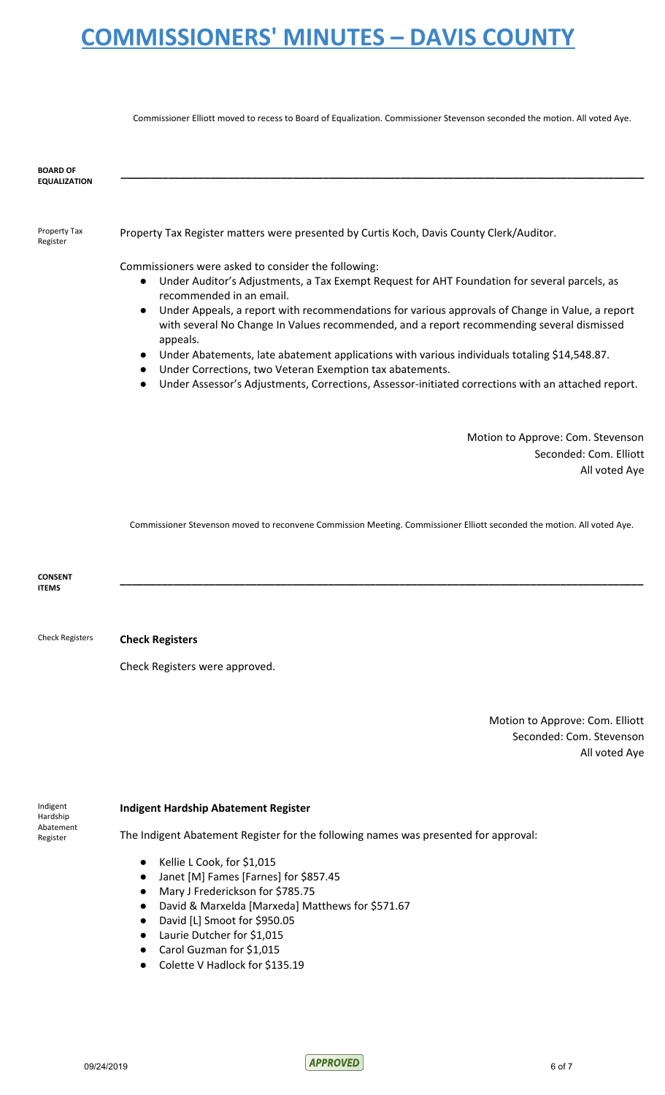Commissioner Elliott moved to recess to Board of Equalization. Commissioner Stevenson seconded the motion. All voted Aye.

| <b>BOARD OF</b><br><b>EQUALIZATION</b>        |                                                                                                                                                                                                                                                                                                                                                                                                                                                                                                                                                                                                                                                                                                                                |
|-----------------------------------------------|--------------------------------------------------------------------------------------------------------------------------------------------------------------------------------------------------------------------------------------------------------------------------------------------------------------------------------------------------------------------------------------------------------------------------------------------------------------------------------------------------------------------------------------------------------------------------------------------------------------------------------------------------------------------------------------------------------------------------------|
| Property Tax<br>Register                      | Property Tax Register matters were presented by Curtis Koch, Davis County Clerk/Auditor.                                                                                                                                                                                                                                                                                                                                                                                                                                                                                                                                                                                                                                       |
|                                               | Commissioners were asked to consider the following:<br>Under Auditor's Adjustments, a Tax Exempt Request for AHT Foundation for several parcels, as<br>$\bullet$<br>recommended in an email.<br>Under Appeals, a report with recommendations for various approvals of Change in Value, a report<br>$\bullet$<br>with several No Change In Values recommended, and a report recommending several dismissed<br>appeals.<br>Under Abatements, late abatement applications with various individuals totaling \$14,548.87.<br>$\bullet$<br>Under Corrections, two Veteran Exemption tax abatements.<br>$\bullet$<br>Under Assessor's Adjustments, Corrections, Assessor-initiated corrections with an attached report.<br>$\bullet$ |
|                                               | Motion to Approve: Com. Stevenson<br>Seconded: Com. Elliott<br>All voted Aye                                                                                                                                                                                                                                                                                                                                                                                                                                                                                                                                                                                                                                                   |
|                                               | Commissioner Stevenson moved to reconvene Commission Meeting. Commissioner Elliott seconded the motion. All voted Aye.                                                                                                                                                                                                                                                                                                                                                                                                                                                                                                                                                                                                         |
| <b>CONSENT</b><br><b>ITEMS</b>                |                                                                                                                                                                                                                                                                                                                                                                                                                                                                                                                                                                                                                                                                                                                                |
| <b>Check Registers</b>                        | <b>Check Registers</b>                                                                                                                                                                                                                                                                                                                                                                                                                                                                                                                                                                                                                                                                                                         |
|                                               | Check Registers were approved.                                                                                                                                                                                                                                                                                                                                                                                                                                                                                                                                                                                                                                                                                                 |
|                                               | Motion to Approve: Com. Elliott<br>Seconded: Com. Stevenson<br>All voted Aye                                                                                                                                                                                                                                                                                                                                                                                                                                                                                                                                                                                                                                                   |
| Indigent<br>Hardship<br>Abatement<br>Register | <b>Indigent Hardship Abatement Register</b>                                                                                                                                                                                                                                                                                                                                                                                                                                                                                                                                                                                                                                                                                    |
|                                               | The Indigent Abatement Register for the following names was presented for approval:                                                                                                                                                                                                                                                                                                                                                                                                                                                                                                                                                                                                                                            |
|                                               | Kellie L Cook, for \$1,015<br>$\bullet$<br>Janet [M] Fames [Farnes] for \$857.45<br>$\bullet$<br>Mary J Frederickson for \$785.75<br>$\bullet$<br>David & Marxelda [Marxeda] Matthews for \$571.67<br>$\bullet$<br>David [L] Smoot for \$950.05<br>$\bullet$<br>Laurie Dutcher for \$1,015<br>$\bullet$<br>Carol Guzman for \$1,015<br>$\bullet$<br>Colette V Hadlock for \$135.19                                                                                                                                                                                                                                                                                                                                             |